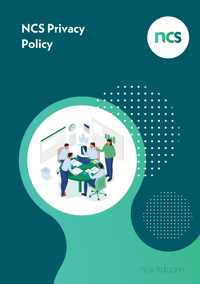# **NCS Privacy** Policy



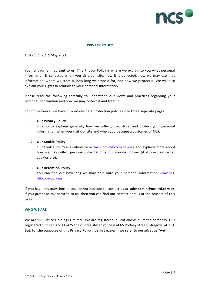

## **PRIVACY POLICY**

## *Last Updated: 6 May 2021.*

Your privacy is important to us. This Privacy Policy is where we explain to you what personal information is collected when you visit our site, how it is collected, how we may use that information, where we store it, how long we store it for, and how we protect it. We will also explain your rights in relation to your personal information.

Please read the following carefully to understand our views and practices regarding your personal information and how we may collect it and treat it.

For convenience, we have divided our data protection policies into three separate pages:

#### 1. **Our Privacy Policy**

This policy explains generally how we collect, use, store, and protect your personal information when you visit our site and when you become a customer of NCS.

## 2. **Our Cookie Policy**

Our Cookie Policy is available here [www.ncs-ltd.com/policies](http://www.ncs-ltd.com/policies) and explains more about how we may collect personal information about you via cookies (it also explains what cookies are).

#### 3. **Our Retention Policy**

You can find out how long we may hold onto your personal information [www.ncs](http://www.ncs-ltd.com/policies)[ltd.com/policies](http://www.ncs-ltd.com/policies)

If you have any questions please do not hesitate to contact us at **salesadmin@ncs-ltd.com** or, if you prefer to call or write to us, then you can find our contact details at the bottom of this page.

#### **WHO WE ARE**

We are NCS Office Holdings Limited. We are registered in Scotland as a limited company. Our registered number is SC412475 and our registered office is at 65 Rodney Street, Glasgow G4 9SQ. But, for the purposes of this Privacy Policy, it's just easier if we refer to ourselves as "**we**".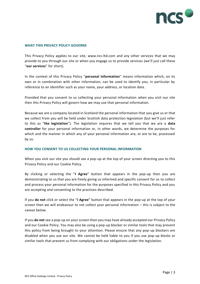

## **WHAT THIS PRIVACY POLICY GOVERNS**

This Privacy Policy applies to our site, www.ncs-ltd.com and any other services that we may provide to you through our site or when you engage us to provide services (we'll just call these "**our services**" for short).

In the context of this Privacy Policy "**personal information**" means information which, on its own or in combination with other information, can be used to identify you, in particular by reference to an identifier such as your name, your address, or location data.

Provided that you consent to us collecting your personal information when you visit our site then this Privacy Policy will govern how we may use that personal information.

Because we are a company located in Scotland the personal information that you give us or that we collect from you will be held under Scottish data protection legislation (but we'll just refer to this as "**the legislation**"). The legislation requires that we tell you that we are a **data controller** for your personal information or, in other words, we determine the purposes for which and the manner in which any of your personal information are, or are to be, processed by us.

## **HOW YOU CONSENT TO US COLLECTING YOUR PERSONAL INFORMATION**

When you visit our site you should see a pop-up at the top of your screen directing you to this Privacy Policy and our Cookie Policy.

By clicking or selecting the "**I Agree**" button that appears in the pop-up then you are demonstrating to us that you are freely giving us informed and specific consent for us to collect and process your personal information for the purposes specified in this Privacy Policy and you are accepting and consenting to the practices described.

If you **do not** click or select the "**I Agree**" button that appears in the pop-up at the top of your screen then we will endeavour to not collect your personal information – this is subject to the caveat below.

If you **do not** see a pop-up on your screen then you may have already accepted our Privacy Policy and our Cookie Policy. You may also be using a pop-up blocker or similar tools that may prevent this policy from being brought to your attention. Please ensure that any pop-up blockers are disabled when you use our site. We cannot be held liable to you if you use pop-up blocks or similar tools that prevent us from complying with our obligations under the legislation.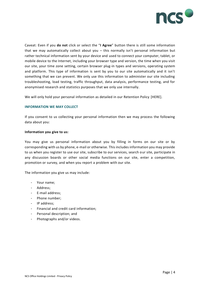

Caveat: Even if you **do not** click or select the "**I Agree**" button there is still some information that we may automatically collect about you – this normally isn't personal information but rather technical information sent by your device and used to connect your computer, tablet, or mobile device to the Internet, including your browser type and version, the time when you visit our site, your time zone setting, certain browser plug-in types and versions, operating system and platform. This type of information is sent by you to our site automatically and it isn't something that we can prevent. We only use this information to administer our site including troubleshooting, load testing, traffic throughput, data analysis, performance testing, and for anonymised research and statistics purposes that we only use internally.

We will only hold your personal information as detailed in our Retention Policy [HERE].

## **INFORMATION WE MAY COLLECT**

If you consent to us collecting your personal information then we may process the following data about you:

#### **Information you give to us:**

You may give us personal information about you by filling in forms on our site or by corresponding with us by phone, e-mail or otherwise. This includes information you may provide to us when you register to use our site, subscribe to our services, search our site, participate in any discussion boards or other social media functions on our site, enter a competition, promotion or survey, and when you report a problem with our site.

The information you give us may include:

- Your name;
- Address;
- E-mail address;
- Phone number;
- IP address;
- Financial and credit card information;
- Personal description; and
- Photographs and/or videos.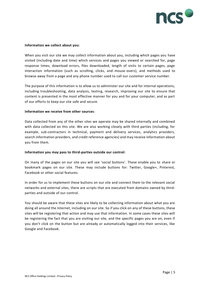

#### **Information we collect about you:**

When you visit our site we may collect information about you, including which pages you have visited (including date and time) which services and pages you viewed or searched for, page response times, download errors, files downloaded, length of visits to certain pages, page interaction information (such as scrolling, clicks, and mouse-overs), and methods used to browse away from a page and any phone number used to call our customer service number.

The purpose of this information is to allow us to administer our site and for internal operations, including troubleshooting, data analysis, testing, research, improving our site to ensure that content is presented in the most effective manner for you and for your computer, and as part of our efforts to keep our site safe and secure.

#### **Information we receive from other sources**:

Data collected from any of the other sites we operate may be shared internally and combined with data collected on this site. We are also working closely with third parties (including, for example, sub-contractors in technical, payment and delivery services, analytics providers, search information providers, and credit reference agencies) and may receive information about you from them.

## **Information you may pass to third-parties outside our control:**

On many of the pages on our site you will see 'social buttons'. These enable you to share or bookmark pages on our site. These may include buttons for: Twitter, Google+, Pinterest, Facebook or other social features.

In order for us to implement these buttons on our site and connect them to the relevant social networks and external sites, there are scripts that are executed from domains owned by thirdparties and outside of our control.

You should be aware that these sites are likely to be collecting information about what you are doing all around the Internet, including on our site. So if you click on any of these buttons, these sites will be registering that action and may use that information. In some cases these sites will be registering the fact that you are visiting our site, and the specific pages you are on, even if you don't click on the button but are already or automatically logged into their services, like Google and Facebook.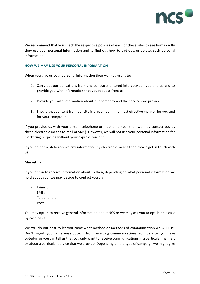

We recommend that you check the respective policies of each of these sites to see how exactly they use your personal information and to find out how to opt out, or delete, such personal information.

#### **HOW WE MAY USE YOUR PERSONAL INFORMATION**

When you give us your personal information then we may use it to:

- 1. Carry out our obligations from any contracts entered into between you and us and to provide you with information that you request from us.
- 2. Provide you with information about our company and the services we provide.
- 3. Ensure that content from our site is presented in the most effective manner for you and for your computer.

If you provide us with your e-mail, telephone or mobile number then we may contact you by these electronic means (e-mail or SMS). However, we will not use your personal information for marketing purposes without your express consent.

If you do not wish to receive any information by electronic means then please get in touch with us.

## **Marketing**

If you opt-in to receive information about us then, depending on what personal information we hold about you, we may decide to contact you via:

- E-mail;
- SMS;
- Telephone or
- Post.

You may opt-in to receive general information about NCS or we may ask you to opt-in on a case by case basis.

We will do our best to let you know what method or methods of communication we will use. Don't forget, you can always opt-out from receiving communications from us after you have opted-in or you can tell us that you only want to receive communications in a particular manner, or about a particular service that we provide. Depending on the type of campaign we might give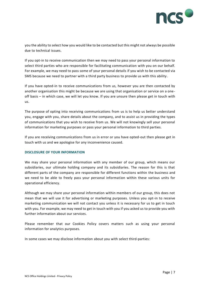

you the ability to select how you would like to be contacted but this might not always be possible due to technical issues.

If you opt-in to receive communication then we may need to pass your personal information to select third parties who are responsible for facilitating communication with you on our behalf. For example, we may need to pass some of your personal details if you wish to be contacted via SMS because we need to partner with a third party business to provide us with this ability .

If you have opted-in to receive communications from us, however you are then contacted by another organisation this might be because we are using that organisation or service on a oneoff basis – in which case, we will let you know. If you are unsure then please get in touch with us.

The purpose of opting into receiving communications from us is to help us better understand you, engage with you, share details about the company, and to assist us in providing the types of communications that you wish to receive from us. We will not knowingly sell your personal information for marketing purposes or pass your personal information to third parties.

If you are receiving communications from us in error or you have opted-out then please get in touch with us and we apologise for any inconvenience caused.

## **DISCLOSURE OF YOUR INFORMATION**

We may share your personal information with any member of our group, which means our subsidiaries, our ultimate holding company and its subsidiaries. The reason for this is that different parts of the company are responsible for different functions within the business and we need to be able to freely pass your personal information within these various units for operational efficiency.

Although we may share your personal information within members of our group, this does not mean that we will use it for advertising or marketing purposes. Unless you opt-in to receive marketing communication we will not contact you unless it is necessary for us to get in touch with you. For example, we may need to get in touch with you if you asked us to provide you with further information about our services.

Please remember that our Cookies Policy covers matters such as using your personal information for analytics purposes.

In some cases we may disclose information about you with select third-parties: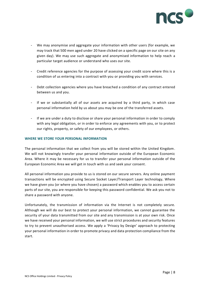

- We may anonymise and aggregate your information with other users (for example, we may track that 500 men aged under 20 have clicked on a specific page on our site on any given day). We may use such aggregate and anonymised information to help reach a particular target audience or understand who uses our site.
- Credit reference agencies for the purpose of assessing your credit score where this is a condition of us entering into a contract with you or providing you with services.
- Debt collection agencies where you have breached a condition of any contract entered between us and you.
- If we or substantially all of our assets are acquired by a third party, in which case personal information held by us about you may be one of the transferred assets.
- If we are under a duty to disclose or share your personal information in order to comply with any legal obligation, or in order to enforce any agreements with you, or to protect our rights, property, or safety of our employees, or others.

## **WHERE WE STORE YOUR PERSONAL INFORMATION**

The personal information that we collect from you will be stored within the United Kingdom. We will not knowingly transfer your personal information outside of the European Economic Area. Where it may be necessary for us to transfer your personal information outside of the European Economic Area we will get in touch with us and seek your consent.

All personal information you provide to us is stored on our secure servers. Any online payment transactions will be encrypted using Secure Socket Layer/Transport Layer technology**.** Where we have given you (or where you have chosen) a password which enables you to access certain parts of our site, you are responsible for keeping this password confidential. We ask you not to share a password with anyone.

Unfortunately, the transmission of information via the Internet is not completely secure. Although we will do our best to protect your personal information, we cannot guarantee the security of your data transmitted from our site and any transmission is at your own risk. Once we have received your personal information, we will use strict procedures and security features to try to prevent unauthorised access. We apply a 'Privacy by Design' approach to protecting your personal information in order to promote privacy and data protection compliance from the start.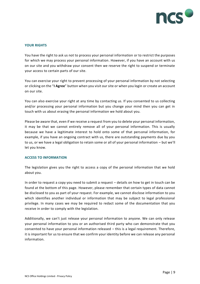

# **YOUR RIGHTS**

You have the right to ask us not to process your personal information or to restrict the purposes for which we may process your personal information. However, if you have an account with us on our site and you withdraw your consent then we reserve the right to suspend or terminate your access to certain parts of our site.

You can exercise your right to prevent processing of your personal information by not selecting or clicking on the "**I Agree**" button when you visit our site or when you login or create an account on our site.

You can also exercise your right at any time by contacting us. If you consented to us collecting and/or processing your personal information but you change your mind then you can get in touch with us about erasing the personal information we hold about you.

Please be aware that, even if we receive a request from you to delete your personal information, it may be that we cannot entirely remove all of your personal information. This is usually because we have a legitimate interest to hold onto some of that personal information, for example, if you have an ongoing contract with us, there are outstanding payments due by you to us, or we have a legal obligation to retain some or all of your personal information – but we'll let you know.

# **ACCESS TO INFORMATION**

The legislation gives you the right to access a copy of the personal information that we hold about you.

In order to request a copy you need to submit a request – details on how to get in touch can be found at the bottom of this page. However, please remember that certain types of data cannot be disclosed to you as part of your request. For example, we cannot disclose information to you which identifies another individual or information that may be subject to legal professional privilege. In many cases we may be required to redact some of the documentation that you receive in order to comply with the legislation.

Additionally, we can't just release your personal information to anyone. We can only release your personal information to you or an authorised third party who can demonstrate that you consented to have your personal information released – this is a legal requirement. Therefore, it is important for us to ensure that we confirm your identity before we can release any personal information.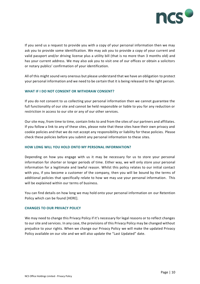

If you send us a request to provide you with a copy of your personal information then we may ask you to provide some identification. We may ask you to provide a copy of your current and valid passport and/or driving license plus a utility bill (that is no more than 3 months old) and has your current address. We may also ask you to visit one of our offices or obtain a solicitors or notary publics' confirmation of your identification.

All of this might sound very onerous but please understand that we have an obligation to protect your personal information and we need to be certain that it is being released to the right person.

## **WHAT IF I DO NOT CONSENT OR WITHDRAW CONSENT?**

If you do not consent to us collecting your personal information then we cannot guarantee the full functionality of our site and cannot be held responsible or liable to you for any reduction or restriction in access to our site or any of our other services.

Our site may, from time to time, contain links to and from the sites of our partners and affiliates. If you follow a link to any of these sites, please note that these sites have their own privacy and cookie policies and that we do not accept any responsibility or liability for these policies. Please check these policies before you submit any personal information to these sites.

## **HOW LONG WILL YOU HOLD ONTO MY PERSONAL INFORMATION?**

Depending on how you engage with us it may be necessary for us to store your personal information for shorter or longer periods of time. Either way, we will only store your personal information for a legitimate and lawful reason. Whilst this policy relates to our initial contact with you, if you become a customer of the company, then you will be bound by the terms of additional policies that specifically relate to how we may use your personal information. This will be explained within our terms of business.

You can find details on how long we may hold onto your personal information on our Retention Policy which can be found [HERE].

## **CHANGES TO OUR PRIVACY POLICY**

We may need to change this Privacy Policy if it's necessary for legal reasons or to reflect changes to our site and services. In any case, the provisions of this Privacy Policy may be changed without prejudice to your rights. When we change our Privacy Policy we will make the updated Privacy Policy available on our site and we will also update the "Last Updated" date.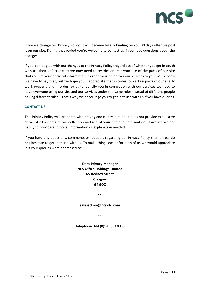

Once we change our Privacy Policy, it will become legally binding on you 30 days after we post it on our site. During that period you're welcome to contact us if you have questions about the changes.

If you don't agree with our changes to the Privacy Policy (regardless of whether you get in touch with us) then unfortunately we may need to restrict or limit your use of the parts of our site that require your personal information in order for us to deliver our services to you. We're sorry we have to say that, but we hope you'll appreciate that in order for certain parts of our site to work properly and in order for us to identify you in connection with our services we need to have everyone using our site and our services under the same rules instead of different people having different rules – that's why we encourage you to get in touch with us if you have queries.

## **CONTACT US**

This Privacy Policy was prepared with brevity and clarity in mind. It does not provide exhaustive detail of all aspects of our collection and use of your personal information. However, we are happy to provide additional information or explanation needed.

If you have any questions, comments or requests regarding our Privacy Policy then please do not hesitate to get in touch with us. To make things easier for both of us we would appreciate it if your queries were addressed to:

> **Data Privacy Manager NCS Office Holdings Limited 65 Rodney Street Glasgow G4 9QX**

> > or

#### **salesadmin@ncs-ltd.com**

or

**Telephone:** +44 (0)141 353 0000